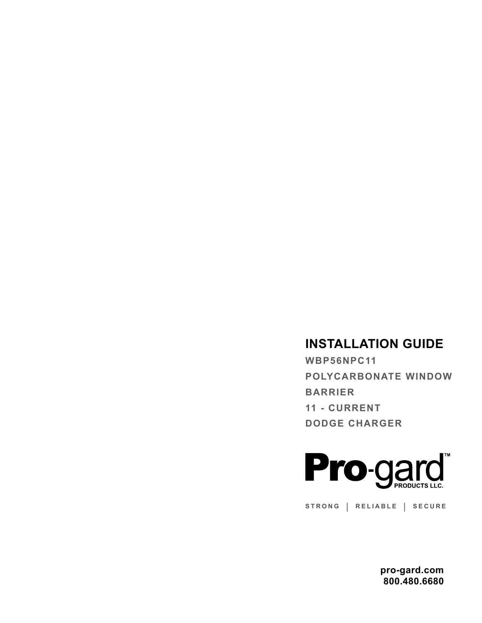## **INSTALLATION GUIDE**

**WBP56NPC11 POLYCARBONATE WINDOW BARRIER 11 - CURRENT DODGE CHARGER** 



**STRONG | RELIABLE | SECURE**

**pro-gard.com 800.480.6680**